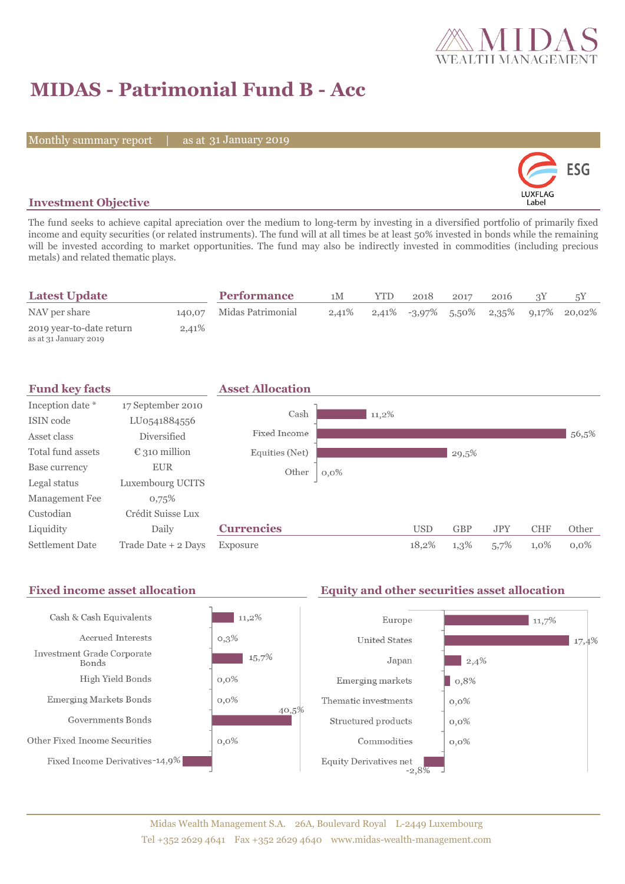

# **MIDAS - Patrimonial Fund B - Acc**

Monthly summary report | as at 31 January 2019



### **Investment Objective**

The fund seeks to achieve capital apreciation over the medium to long-term by investing in a diversified portfolio of primarily fixed income and equity securities (or related instruments). The fund will at all times be at least 50% invested in bonds while the remaining will be invested according to market opportunities. The fund may also be indirectly invested in commodities (including precious metals) and related thematic plays.

| <b>Latest Update</b>                              |       | <b>Performance</b>       | 1M       | YTD. | 2018 | 2017 | 2016 |                                          |
|---------------------------------------------------|-------|--------------------------|----------|------|------|------|------|------------------------------------------|
| NAV per share                                     |       | 140,07 Midas Patrimonial | $2,41\%$ |      |      |      |      | $2,41\%$ -3,97% 5,50% 2,35% 9,17% 20,02% |
| 2019 year-to-date return<br>as at 31 January 2019 | 2,41% |                          |          |      |      |      |      |                                          |



#### Fixed income asset allocation **Equity and other securities asset allocation** Cash & Cash Equivalents  $11,2\%$ Europe  $\vert$  11,7% Accrued Interests  $0,3\%$ **United States** 17,4% Investment Grade Corporate  $15,7%$ Japan  $|2,4\%$ Bonds  $0,0\%$ High Yield Bonds Emerging markets  $0,8%$ **Emerging Markets Bonds**  $0,0\%$ Thematic investments  $0,0\%$ 40,5% Governments Bonds Structured products  $0,0\%$  $0,0\%$ Other Fixed Income Securities Commodities  $0,0\%$ Fixed Income Derivatives-14,9% Equity Derivatives net  $-2,8\%$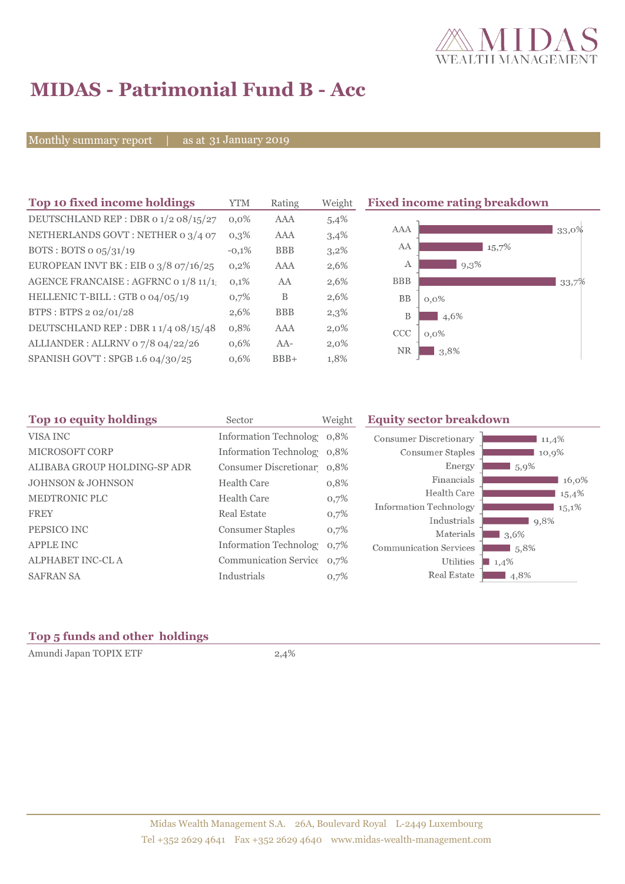

# **MIDAS - Patrimonial Fund B - Acc**

Monthly summary report | as at 31 January 2019

| Top 10 fixed income holdings            | <b>YTM</b> | Rating     | Weight  | <b>Fixed income rating breakdown</b> |
|-----------------------------------------|------------|------------|---------|--------------------------------------|
| DEUTSCHLAND REP : DBR 0 1/2 08/15/27    | $0.0\%$    | <b>AAA</b> | 5,4%    |                                      |
| NETHERLANDS GOVT: NETHER 0 3/4 07       | $0,3\%$    | <b>AAA</b> | 3,4%    | AAA<br>33,0%                         |
| BOTS: BOTS $\sigma$ 05/31/19            | $-0,1%$    | <b>BBB</b> | $3,2\%$ | AA<br>15,7%                          |
| EUROPEAN INVT BK : EIB o $3/8$ o7/16/25 | 0,2%       | <b>AAA</b> | 2,6%    | А<br>$9,3\%$                         |
| AGENCE FRANCAISE : AGFRNC 0 1/8 11/1    | 0,1%       | AA         | 2,6%    | <b>BBB</b><br>33,7%                  |
| HELLENIC T-BILL : GTB 0 04/05/19        | 0,7%       | B          | 2,6%    | <b>BB</b><br>$0,0\%$                 |
| BTPS: BTPS 2 02/01/28                   | 2,6%       | <b>BBB</b> | 2,3%    | B<br>4,6%                            |
| DEUTSCHLAND REP: DBR 11/4 08/15/48      | 0,8%       | <b>AAA</b> | $2,0\%$ | CCC<br>$0,0\%$                       |
| ALLIANDER: ALLRNV 07/8 04/22/26         | $0.6\%$    | $AA-$      | $2,0\%$ | <b>NR</b>                            |
| SPANISH GOV'T: SPGB 1.6 04/30/25        | 0,6%       | $BBB+$     | 1,8%    | 3,8%                                 |

| Top 10 equity holdings       | Sector                        | Weight | <b>Equity sector breakdown</b> |          |
|------------------------------|-------------------------------|--------|--------------------------------|----------|
| VISA INC                     | Information Technolog 0,8%    |        | <b>Consumer Discretionary</b>  | 11,4%    |
| <b>MICROSOFT CORP</b>        | Information Technolog 0,8%    |        | Consumer Staples               | 10,9%    |
| ALIBABA GROUP HOLDING-SP ADR | Consumer Discretionar 0.8%    |        | Energy                         | $5,9\%$  |
| <b>JOHNSON &amp; JOHNSON</b> | <b>Health Care</b>            | 0,8%   | Financials                     | 16,0%    |
| MEDTRONIC PLC                | Health Care                   | 0,7%   | Health Care                    | 15,4%    |
| <b>FREY</b>                  | <b>Real Estate</b>            |        | <b>Information Technology</b>  | 15,1%    |
|                              |                               | 0,7%   | Industrials                    | 9,8%     |
| PEPSICO INC                  | <b>Consumer Staples</b>       | 0,7%   | Materials                      | $13,6\%$ |
| <b>APPLE INC</b>             | <b>Information Technology</b> | 0,7%   | <b>Communication Services</b>  | 5,8%     |
| ALPHABET INC-CL A            | Communication Service 0.7%    |        | Utilities                      | 1,4%     |
| <b>SAFRAN SA</b>             | Industrials                   | 0,7%   | Real Estate                    | 4,8%     |
|                              |                               |        |                                |          |

## **Top 5 funds and other holdings**

Amundi Japan TOPIX ETF 2,4%